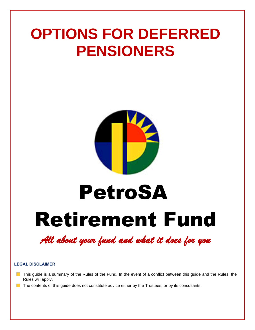## **OPTIONS FOR DEFERRED PENSIONERS**



# Retirement Fund PetroSA

*All about your fund and what it does for you* 

#### **LEGAL DISCLAIMER**

- **This guide is a summary of the Rules of the Fund. In the event of a conflict between this guide and the Rules, the** Rules will apply.
- The contents of this guide does not constitute advice either by the Trustees, or by its consultants.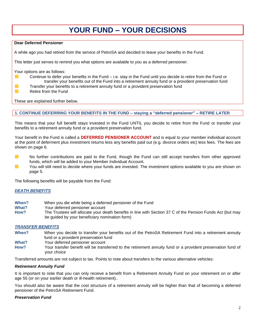## **YOUR FUND – YOUR DECISIONS**

#### **Dear Deferred Pensioner**

A while ago you had retired from the service of PetroSA and decided to leave your benefits in the Fund.

This letter just serves to remind you what options are available to you as a deferred pensioner.

Your options are as follows:

**Contract** 

m.

- Continue to defer your benefits in the Fund i.e. stay in the Fund until you decide to retire from the Fund or transfer your benefits out of the Fund into a retirement annuity fund or a provident preservation fund
- Transfer your benefits to a retirement annuity fund or a provident preservation fund
- Retire from the Fund  $\mathcal{L}_{\mathcal{A}}$

These are explained further below.

#### **1. CONTINUE DEFERRING YOUR BENEFITS IN THE FUND – staying a "deferred pensioner" – RETIRE LATER**

This means that your full benefit stays invested in the Fund UNTIL you decide to retire from the Fund or transfer your benefits to a retirement annuity fund or a provident preservation fund.

Your benefit in the Fund is called a **DEFERRED PENSIONER ACCOUNT** and is equal to your member individual account at the point of deferment plus investment returns less any benefits paid out (e.g. divorce orders etc) less fees. The fees are shown on page 6.

- $\sim$ No further contributions are paid to the Fund, though the Fund can still accept transfers from other approved funds, which will be added to your Member Individual Account.
- $\sim$ You will still need to decide where your funds are invested. The investment options available to you are shown on page 5.

The following benefits will be payable from the Fund:

#### *DEATH BENEFITS*

- **When?** When you die while being a deferred pensioner of the Fund
- Your deferred pensioner account
- **How?** The Trustees will allocate your death benefits in line with Section 37 C of the Pension Funds Act (but may be guided by your beneficiary nomination form)

#### *TRANSFER BENEFITS*

- **When?** When you decide to transfer your benefits out of the PetroSA Retirement Fund into a retirement annuity fund or a provident preservation fund
- **What?** Your deferred pensioner account
- **How?** Your transfer benefit will be transferred to the retirement annuity fund or a provident preservation fund of your choice

Transferred amounts are not subject to tax. Points to note about transfers to the various alternative vehicles:

#### *Retirement Annuity Fund*

It is important to note that you can only receive a benefit from a Retirement Annuity Fund on your retirement on or after age 55 (or on your earlier death or ill-health retirement)..

You should also be aware that the cost structure of a retirement annuity will be higher than that of becoming a deferred pensioner of the PetroSA Retirement Fund.

#### *Preservation Fund*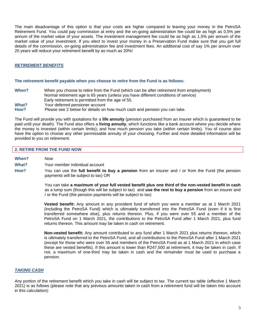The main disadvantage of this option is that your costs are higher compared to leaving your money in the PetroSA Retirement Fund. You could pay commission at entry and the on-going administration fee could be as high as 0,5% per annum of the market value of your assets. The investment management fee could be as high as 1,5% per annum of the market value of your investment. If you elect to invest your money in a Preservation Fund make sure that you get full details of the commission, on-going administration fee and investment fees. An additional cost of say 1% per annum over 20 years will reduce your retirement benefit by as much as 20%!

#### *RETIREMENT BENEFITS*

#### **The retirement benefit payable when you choose to retire from the Fund is as follows:**

**When?** When you choose to retire from the Fund (which can be after retirement from employment) Normal retirement age is 65 years (unless you have different conditions of service) Early retirement is permitted from the age of 55. **What?** Your deferred pensioner account **How?** Please see 2 below for details on how much cash and pension you can take.

The Fund will provide you with quotations for a **life annuity** (pension purchased from an insurer which is guaranteed to be paid until your death). The Fund also offers a **living annuity**, which functions like a bank account where you decide where the money is invested (within certain limits); and how much pension you take (within certain limits). You of course also have the option to choose any other permissable annuity of your choosing. Further and more detailed information will be provided to you on retirement.

#### **2. RETIRE FROM THE FUND NOW**

**When?** Now **What?** Your member individual account **How?** You can use the **full benefit to buy a pension** from an insurer and / or from the Fund (the pension payments will be subject to tax) OR

> You can take **a maximum of your full vested benefit plus one third of the non-vested benefit in cash** as a lump sum (though this will be subject to tax) and **use the rest to buy a pension** from an insurer and / or the Fund (the pension payments will be subject to tax)

> **Vested benefit:** Any amount in any provident fund of which you were a member as at 1 March 2021 (including the PetroSA Fund) which is ultimately transferred into the PetroSA Fund (even if it is first transferred somewhere else), plus returns thereon. Plus, if you were over 55 and a member of the PetroSA Fund on 1 March 2021, the contributions to the PetroSA Fund after 1 March 2021, plus fund returns thereon. This amount may be taken in cash on retirement.

> **Non-vested benefit:** Any amount contributed to any fund after 1 March 2021 plus returns thereon, which is ultimately transferred to the PetroSA Fund, and all contributions to the PetroSA Fund after 1 March 2021 (except for those who were over 55 and members of the PetroSA Fund as at 1 March 2021 in which case these are vested benefits). If this amount is lower than R247,500 at retirement, it may be taken in cash. If not, a maximum of one-third may be taken in cash and the remainder must be used to purchase a pension.

#### *TAKING CASH*

Any portion of the retirement benefit which you take in cash will be subject to tax. The current tax table (effective 1 March 2021) is as follows (please note that any previous amounts taken in cash from a retirement fund will be taken into account in this calculation):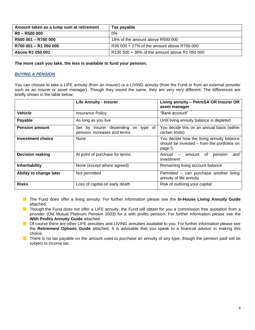| Amount taken as a lump sum at retirement | Tax payable                                   |
|------------------------------------------|-----------------------------------------------|
| R0 - R500 000                            | $0\%$                                         |
| R500 001 - R700 000                      | 18% of the amount above R500 000              |
| R700 001 - R1 050 000                    | R36 000 + 27% of the amount above R700 000    |
| Above R1 050 001                         | R130 500 + 36% of the amount above R1 050 000 |

**The more cash you take, the less is available to fund your pension.**

#### *BUYING A PENSION*

You can choose to take a LIFE annuity (from an Insurer) or a LIVING annuity (from the Fund or from an external provider such as an insurer or asset manager). Though they sound the same, they are very very different. The differences are briefly shown in the table below:

|                         | <b>Life Annuity - Insurer</b>                                          | Living annuity - PetroSA OR Insurer OR<br>asset manager                                             |
|-------------------------|------------------------------------------------------------------------|-----------------------------------------------------------------------------------------------------|
| <b>Vehicle</b>          | <b>Insurance Policy</b>                                                | "Bank account"                                                                                      |
| Payable                 | As long as you live                                                    | Until living annuity balance is depleted                                                            |
| <b>Pension amount</b>   | Set by insurer depending<br>on type of<br>pension, increases and terms | You decide this on an annual basis (within<br>certain limits)                                       |
| Investment choice       | None                                                                   | You decide how the living annuity balance<br>should be invested - from the portfolios on<br>page 5. |
| <b>Decision making</b>  | At point of purchase for terms                                         | Annual<br>of<br>amount<br>pension<br>and<br>$\overline{\phantom{m}}$<br>investment                  |
| Inheritability          | None (except where agreed)                                             | Remaining living account balance                                                                    |
| Ability to change later | Not permitted                                                          | Permitted - can purchase another living<br>annuity of life annuity                                  |
| <b>Risks</b>            | Loss of capital on early death                                         | Risk of outliving your capital                                                                      |

**The Fund does offer a living annuity. For further information please see the In-House Living Annuity Guide** attached.

Though the Fund does not offer a LIFE annuity, the Fund will obtain for you a commission free quotation from a provider (Old Mutual Platinum Pension 2003) for a with profits pension. For further information please see the **With Profits Annuity Guide** attached.

**Of course there are other LIFE annuities and LIVING annuities available to you. For further information please see** the **Retirement Options Guide** attached. It is advisable that you speak to a financial advisor in making this choice.

There is no tax payable on the amount used to purchase an annuity of any type, though the pension paid will be subject to income tax.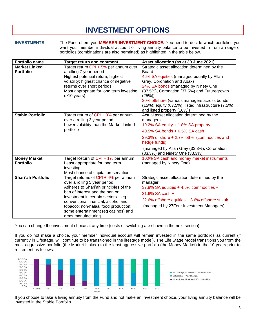## **INVESTMENT OPTIONS**

**INVESTMENTS** The Fund offers you **MEMBER INVESTMENT CHOICE.** You need to decide which portfolios you want your member individual account or living annuity balance to be invested in from a range of portfolios (combinations are also permitted) as highlighted in the table below.

| Portfolio name            | <b>Target return and comment</b>                                       | Asset allocation (as at 30 June 2021)                       |
|---------------------------|------------------------------------------------------------------------|-------------------------------------------------------------|
| <b>Market Linked</b>      | Target return CPI + 5% per annum over                                  | Strategic asset allocation determined by the                |
| <b>Portfolio</b>          | a rolling 7 year period                                                | Board.                                                      |
|                           | Highest potential return; highest                                      | 46% SA equities (managed equally by Allan                   |
|                           | volatility; highest chance of negative                                 | Gray, Coronation and Abax)                                  |
|                           | returns over short periods                                             | 24% SA bonds (managed by Ninety One                         |
|                           | Most appropriate for long term investing<br>$($ >10 years)             | (37.5%), Coronation (37.5%) and Futuregrowth<br>(25%)       |
|                           |                                                                        | 30% offshore (various managers across bonds                 |
|                           |                                                                        | $(15%)$ ; equity $(67.5%)$ ; listed infrastructure $(7.5%)$ |
|                           |                                                                        | and listed property (10%))                                  |
| <b>Stable Portfolio</b>   | Target return of CPI + 3% per annum                                    | Actual asset allocation determined by the                   |
|                           | over a rolling 3 year period                                           | managers.                                                   |
|                           | Lower volatility than the Market Linked                                | 19.2% SA equity + 1.8% SA property                          |
|                           | portfolio                                                              | 40.5% SA bonds + 6.5% SA cash                               |
|                           |                                                                        | 29.3% offshore + 2.7% other (commodities and                |
|                           |                                                                        | hedge funds)                                                |
|                           |                                                                        | (managed by Allan Gray (33.3%), Coronation                  |
|                           |                                                                        | (33.3%) and Ninety One (33.3%)                              |
| <b>Money Market</b>       | Target Return of CPI + 1% per annum                                    | 100% SA cash and money market instruments                   |
| <b>Portfolio</b>          | Least appropriate for long term                                        | (managed by Ninety One)                                     |
|                           | investing                                                              |                                                             |
|                           | Most chance of capital preservation                                    |                                                             |
| <b>Shari'ah Portfolio</b> | Target returns of CPI + 4% per annum                                   | Strategic asset allocation determined by the                |
|                           | over a rolling 5 year period                                           | manager                                                     |
|                           | Adheres to Shari'ah principles of the                                  | 37.8% SA equities + 4.5% commodities +                      |
|                           | ban of interest and the ban on<br>investment in certain sectors $-$ eg | 31.6% SA cash +                                             |
|                           | conventional financial, alcohol and                                    | 22.6% offshore equities + 3.6% offshore sukuk               |
|                           | tobacco; non-halaal food production;                                   | (managed by 27Four Investment Managers)                     |
|                           | some entertainment (eg casinos) and                                    |                                                             |
|                           | arms manufacturing.                                                    |                                                             |

You can change the investment choice at any time (costs of switching are shown in the next section).

If you do not make a choice, your member individual account will remain invested in the same portfolios as current (if currently in Lifestage, will continue to be transitioned in the lifestage model). The Life Stage Model transitions you from the most aggressive portfolio (the Market Linked) to the least aggressive portfolio (the Money Market) in the 10 years prior to retirement as follows:



If you choose to take a living annuity from the Fund and not make an investment choice, your living annuity balance will be invested in the Stable Portfolio.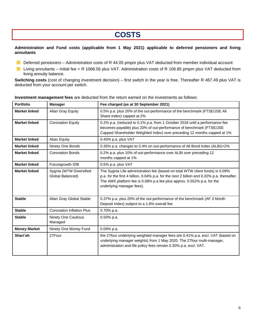### **COSTS**

#### **Administration and Fund costs (applicable from 1 May 2021) applicable to deferred pensioners and living annuitants**

- Deferred pensioners Administration costs of R 44.05 pmpm plus VAT deducted from member individual account
- Living annuitants Initial fee = R 1068.56 plus VAT. Administration costs of R 106.85 pmpm plus VAT deducted from living annuity balance.

**Switching costs** (cost of changing investment decision) – first switch in the year is free. Thereafter R 467.49 plus VAT is deducted from your account per switch.

| <b>Portfolio</b>     | <b>Manager</b>                              | Fee charged (as at 30 September 2021)                                                                                                                                                                                                                                              |  |
|----------------------|---------------------------------------------|------------------------------------------------------------------------------------------------------------------------------------------------------------------------------------------------------------------------------------------------------------------------------------|--|
| <b>Market linked</b> | Allan Gray Equity                           | 0.5% p.a. plus 20% of the out-performance of the benchmark (FTSE/JSE All<br>Share Index) capped at 2%                                                                                                                                                                              |  |
| <b>Market linked</b> | <b>Coronation Equity</b>                    | 0.2% p.a. (reduced to 0.1% p.a. from 1 October 2018 until a performance fee<br>becomes payable) plus 20% of out-performance of benchmark (FTSE/JSE<br>Capped Shareholder Weighted Index) over preceding 12 months capped at 1%                                                     |  |
| <b>Market linked</b> | <b>Abax Equity</b>                          | 0.45% p.a. plus VAT                                                                                                                                                                                                                                                                |  |
| <b>Market linked</b> | Ninety One Bonds                            | 0.35% p.a. changes to 0.4% on out-performance of All Bond Index (ALBI)+2%                                                                                                                                                                                                          |  |
| <b>Market linked</b> | <b>Coronation Bonds</b>                     | 0.2% p.a. plus 10% of out-performance over ALBI over preceding 12<br>months capped at 1%                                                                                                                                                                                           |  |
| <b>Market linked</b> | Futuregrowth IDB                            | 0.5% p.a. plus VAT                                                                                                                                                                                                                                                                 |  |
| <b>Market linked</b> | Sygnia (WTW Diversified<br>Global Balanced) | The Sygnia Life administration fee (based on total WTW client funds) is 0.09%<br>p.a. for the first 4 billion, 0.04% p.a. for the next 2 billion and 0.02% p.a. thereafter.<br>The AMX platform fee is 0.08% p.a fee plus approx. 0.552% p.a. for the<br>underlying manager fees). |  |
| <b>Stable</b>        | Allan Gray Global Stable                    | 0.37% p.a. plus 20% of the out-performance of the benchmark (AF 3 Month<br>Deposit Index) subject to a 1.8% overall fee                                                                                                                                                            |  |
| <b>Stable</b>        | <b>Coronation Inflation Plus</b>            | 0.70% p.a.                                                                                                                                                                                                                                                                         |  |
| <b>Stable</b>        | <b>Ninety One Cautious</b><br>Managed       | $0.50\%$ p.a.                                                                                                                                                                                                                                                                      |  |
| <b>Money Market</b>  | Ninety One Money Fund                       | 0.09% p.a.                                                                                                                                                                                                                                                                         |  |
| Shari'ah             | 27Four                                      | the 27four underlying weighted manager fees are 0.41% p.a. excl. VAT (based on<br>underlying manager weights) from 1 May 2020. The 27four multi-manager,<br>administration and life policy fees remain 0.30% p.a. excl. VAT.                                                       |  |

#### **Investment management fees** are deducted from the return earned on the investments as follows: